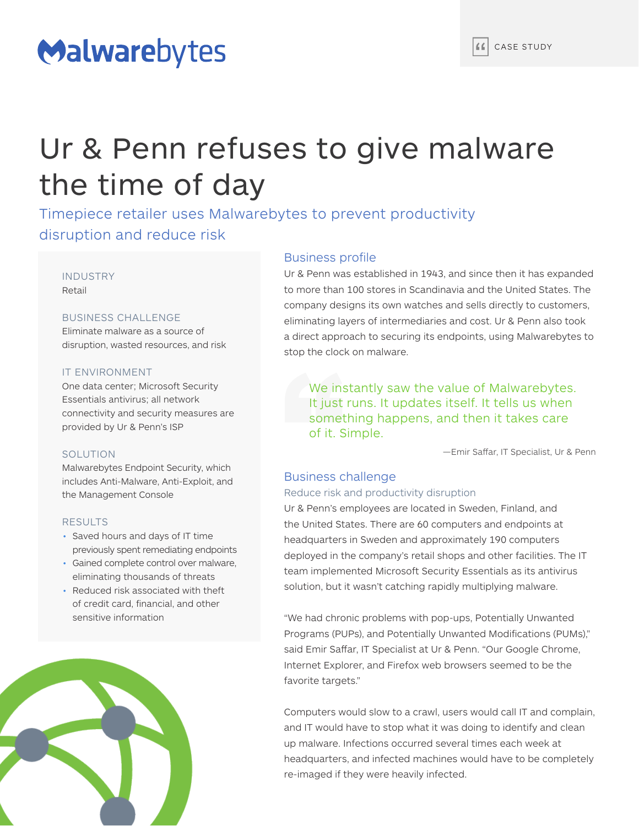# Malwarebytes

# Ur & Penn refuses to give malware the time of day

Timepiece retailer uses Malwarebytes to prevent productivity disruption and reduce risk

INDUSTRY Retail

# BUSINESS CHALLENGE

Eliminate malware as a source of disruption, wasted resources, and risk

### IT ENVIRONMENT

One data center; Microsoft Security Essentials antivirus; all network connectivity and security measures are provided by Ur & Penn's ISP

#### SOLUTION

Malwarebytes Endpoint Security, which includes Anti-Malware, Anti-Exploit, and the Management Console

### RESULTS

- Saved hours and days of IT time previously spent remediating endpoints
- Gained complete control over malware, eliminating thousands of threats
- Reduced risk associated with theft of credit card, financial, and other sensitive information



# Business profile

Ur & Penn was established in 1943, and since then it has expanded to more than 100 stores in Scandinavia and the United States. The company designs its own watches and sells directly to customers, eliminating layers of intermediaries and cost. Ur & Penn also took a direct approach to securing its endpoints, using Malwarebytes to stop the clock on malware.

We instantly saw the value of Malwarebytes. It just runs. It updates itself. It tells us when something happens, and then it takes care of it. Simple.

—Emir Saffar, IT Specialist, Ur & Penn

# Business challenge

# Reduce risk and productivity disruption

Ur & Penn's employees are located in Sweden, Finland, and the United States. There are 60 computers and endpoints at headquarters in Sweden and approximately 190 computers deployed in the company's retail shops and other facilities. The IT team implemented Microsoft Security Essentials as its antivirus solution, but it wasn't catching rapidly multiplying malware.

"We had chronic problems with pop-ups, Potentially Unwanted Programs (PUPs), and Potentially Unwanted Modifications (PUMs)," said Emir Saffar, IT Specialist at Ur & Penn. "Our Google Chrome, Internet Explorer, and Firefox web browsers seemed to be the favorite targets."

Computers would slow to a crawl, users would call IT and complain, and IT would have to stop what it was doing to identify and clean up malware. Infections occurred several times each week at headquarters, and infected machines would have to be completely re-imaged if they were heavily infected.